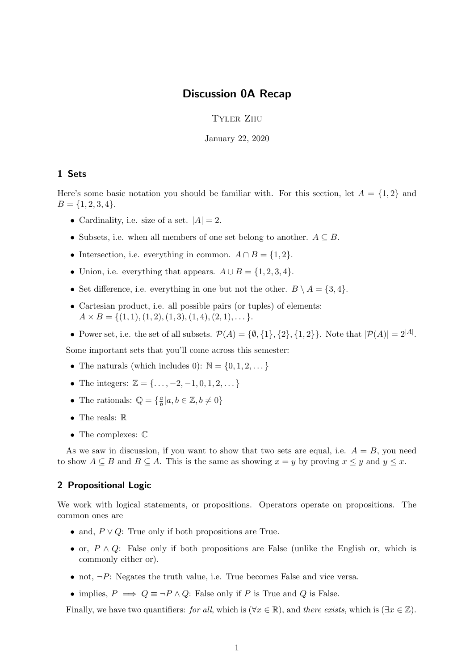## Discussion 0A Recap

Tyler Zhu

January 22, 2020

## 1 Sets

Here's some basic notation you should be familiar with. For this section, let  $A = \{1, 2\}$  and  $B = \{1, 2, 3, 4\}.$ 

- Cardinality, i.e. size of a set.  $|A| = 2$ .
- Subsets, i.e. when all members of one set belong to another.  $A \subseteq B$ .
- Intersection, i.e. everything in common.  $A \cap B = \{1, 2\}.$
- Union, i.e. everything that appears.  $A \cup B = \{1, 2, 3, 4\}.$
- Set difference, i.e. everything in one but not the other.  $B \setminus A = \{3, 4\}.$
- Cartesian product, i.e. all possible pairs (or tuples) of elements:  $A \times B = \{(1, 1), (1, 2), (1, 3), (1, 4), (2, 1), \dots\}.$
- Power set, i.e. the set of all subsets.  $\mathcal{P}(A) = \{\emptyset, \{1\}, \{2\}, \{1, 2\}\}\.$  Note that  $|\mathcal{P}(A)| = 2^{|A|}$ .

Some important sets that you'll come across this semester:

- The naturals (which includes 0):  $\mathbb{N} = \{0, 1, 2, \dots\}$
- The integers:  $\mathbb{Z} = {\ldots, -2, -1, 0, 1, 2, \ldots}$
- The rationals:  $\mathbb{Q} = \{\frac{a}{b}\}$  $\frac{a}{b} | a, b \in \mathbb{Z}, b \neq 0 \}$
- The reals:  $\mathbb R$
- $\bullet\,$  The complexes:  $\mathbb C$

As we saw in discussion, if you want to show that two sets are equal, i.e.  $A = B$ , you need to show  $A \subseteq B$  and  $B \subseteq A$ . This is the same as showing  $x = y$  by proving  $x \le y$  and  $y \le x$ .

## 2 Propositional Logic

We work with logical statements, or propositions. Operators operate on propositions. The common ones are

- and,  $P \vee Q$ : True only if both propositions are True.
- or,  $P \wedge Q$ : False only if both propositions are False (unlike the English or, which is commonly either or).
- not,  $\neg P$ : Negates the truth value, i.e. True becomes False and vice versa.
- implies,  $P \implies Q \equiv \neg P \land Q$ : False only if P is True and Q is False.

Finally, we have two quantifiers: for all, which is ( $\forall x \in \mathbb{R}$ ), and there exists, which is ( $\exists x \in \mathbb{Z}$ ).